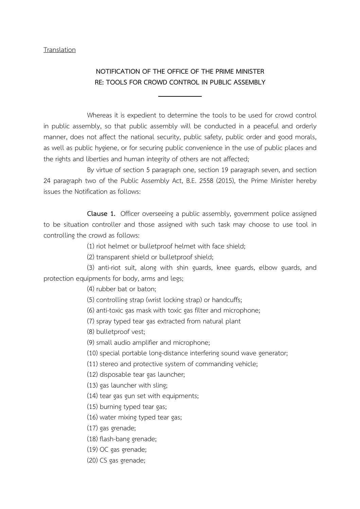## **Translation**

## NOTIFICATION OF THE OFFICE OF THE PRIME MINISTER RE: TOOLS FOR CROWD CONTROL IN PUBLIC ASSEMBLY

Whereas it is expedient to determine the tools to be used for crowd control in public assembly, so that public assembly will be conducted in a peaceful and orderly manner, does not affect the national security, public safety, public order and good morals, as well as public hygiene, or for securing public convenience in the use of public places and the rights and liberties and human integrity of others are not affected;

By virtue of section 5 paragraph one, section 19 paragraph seven, and section 24 paragraph two of the Public Assembly Act, B.E. 2558 (2015), the Prime Minister hereby issues the Notification as follows:

Clause 1. Officer overseeing a public assembly, government police assigned to be situation controller and those assigned with such task may choose to use tool in controlling the crowd as follows:

(1) riot helmet or bulletproof helmet with face shield;

(2) transparent shield or bulletproof shield;

(3) anti-riot suit, along with shin guards, knee guards, elbow guards, and protection equipments for body, arms and legs;

(4) rubber bat or baton;

(5) controlling strap (wrist locking strap) or handcuffs;

(6) anti-toxic gas mask with toxic gas filter and microphone;

(7) spray typed tear gas extracted from natural plant

(8) bulletproof vest;

(9) small audio amplifier and microphone;

(10) special portable long-distance interfering sound wave generator;

(11) stereo and protective system of commanding vehicle;

(12) disposable tear gas launcher;

(13) gas launcher with sling;

(14) tear gas gun set with equipments;

(15) burning typed tear gas;

(16) water mixing typed tear gas;

(17) gas grenade;

(18) flash-bang grenade;

(19) OC gas grenade;

(20) CS gas grenade;